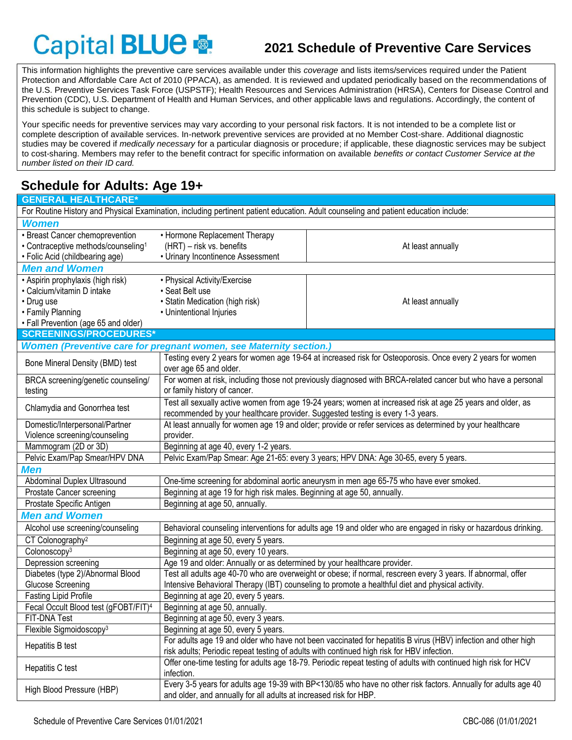# Capital BLUE

## **2021 Schedule of Preventive Care Services**

This information highlights the preventive care services available under this *coverage* and lists items/services required under the Patient Protection and Affordable Care Act of 2010 (PPACA), as amended. It is reviewed and updated periodically based on the recommendations of the U.S. Preventive Services Task Force (USPSTF); Health Resources and Services Administration (HRSA), Centers for Disease Control and Prevention (CDC), U.S. Department of Health and Human Services, and other applicable laws and regulations. Accordingly, the content of this schedule is subject to change.

Your specific needs for preventive services may vary according to your personal risk factors. It is not intended to be a complete list or complete description of available services. In-network preventive services are provided at no Member Cost-share. Additional diagnostic studies may be covered if *medically necessary* for a particular diagnosis or procedure; if applicable, these diagnostic services may be subject to cost-sharing. Members may refer to the benefit contract for specific information on available *benefits or contact Customer Service at the number listed on their ID card.*

## **Schedule for Adults: Age 19+**

| <b>GENERAL HEALTHCARE*</b>                                                                     |                                                                                                                                                                                              |                                                                                                                                      |  |  |  |  |  |  |  |  |  |
|------------------------------------------------------------------------------------------------|----------------------------------------------------------------------------------------------------------------------------------------------------------------------------------------------|--------------------------------------------------------------------------------------------------------------------------------------|--|--|--|--|--|--|--|--|--|
|                                                                                                |                                                                                                                                                                                              | For Routine History and Physical Examination, including pertinent patient education. Adult counseling and patient education include: |  |  |  |  |  |  |  |  |  |
| <b>Women</b>                                                                                   |                                                                                                                                                                                              |                                                                                                                                      |  |  |  |  |  |  |  |  |  |
| · Breast Cancer chemoprevention                                                                | • Hormone Replacement Therapy                                                                                                                                                                |                                                                                                                                      |  |  |  |  |  |  |  |  |  |
| • Contraceptive methods/counseling <sup>1</sup>                                                | (HRT) - risk vs. benefits                                                                                                                                                                    | At least annually                                                                                                                    |  |  |  |  |  |  |  |  |  |
| • Folic Acid (childbearing age)                                                                | • Urinary Incontinence Assessment                                                                                                                                                            |                                                                                                                                      |  |  |  |  |  |  |  |  |  |
| <b>Men and Women</b>                                                                           |                                                                                                                                                                                              |                                                                                                                                      |  |  |  |  |  |  |  |  |  |
| • Aspirin prophylaxis (high risk)                                                              | • Physical Activity/Exercise                                                                                                                                                                 |                                                                                                                                      |  |  |  |  |  |  |  |  |  |
| • Calcium/vitamin D intake                                                                     | · Seat Belt use                                                                                                                                                                              |                                                                                                                                      |  |  |  |  |  |  |  |  |  |
| • Drug use                                                                                     | · Statin Medication (high risk)                                                                                                                                                              | At least annually                                                                                                                    |  |  |  |  |  |  |  |  |  |
| • Family Planning                                                                              | • Unintentional Injuries                                                                                                                                                                     |                                                                                                                                      |  |  |  |  |  |  |  |  |  |
| • Fall Prevention (age 65 and older)                                                           |                                                                                                                                                                                              |                                                                                                                                      |  |  |  |  |  |  |  |  |  |
| <b>SCREENINGS/PROCEDURES*</b>                                                                  |                                                                                                                                                                                              |                                                                                                                                      |  |  |  |  |  |  |  |  |  |
|                                                                                                | <b>Women (Preventive care for pregnant women, see Maternity section.)</b>                                                                                                                    |                                                                                                                                      |  |  |  |  |  |  |  |  |  |
| Bone Mineral Density (BMD) test                                                                | Testing every 2 years for women age 19-64 at increased risk for Osteoporosis. Once every 2 years for women<br>over age 65 and older.                                                         |                                                                                                                                      |  |  |  |  |  |  |  |  |  |
| BRCA screening/genetic counseling/                                                             | For women at risk, including those not previously diagnosed with BRCA-related cancer but who have a personal                                                                                 |                                                                                                                                      |  |  |  |  |  |  |  |  |  |
| testing                                                                                        | or family history of cancer.                                                                                                                                                                 |                                                                                                                                      |  |  |  |  |  |  |  |  |  |
| Chlamydia and Gonorrhea test                                                                   | Test all sexually active women from age 19-24 years; women at increased risk at age 25 years and older, as<br>recommended by your healthcare provider. Suggested testing is every 1-3 years. |                                                                                                                                      |  |  |  |  |  |  |  |  |  |
| Domestic/Interpersonal/Partner                                                                 | At least annually for women age 19 and older; provide or refer services as determined by your healthcare                                                                                     |                                                                                                                                      |  |  |  |  |  |  |  |  |  |
| Violence screening/counseling                                                                  | provider.                                                                                                                                                                                    |                                                                                                                                      |  |  |  |  |  |  |  |  |  |
| Mammogram (2D or 3D)                                                                           | Beginning at age 40, every 1-2 years.                                                                                                                                                        |                                                                                                                                      |  |  |  |  |  |  |  |  |  |
| Pelvic Exam/Pap Smear/HPV DNA                                                                  | Pelvic Exam/Pap Smear: Age 21-65: every 3 years; HPV DNA: Age 30-65, every 5 years.                                                                                                          |                                                                                                                                      |  |  |  |  |  |  |  |  |  |
| <b>Men</b>                                                                                     |                                                                                                                                                                                              |                                                                                                                                      |  |  |  |  |  |  |  |  |  |
| Abdominal Duplex Ultrasound                                                                    |                                                                                                                                                                                              | One-time screening for abdominal aortic aneurysm in men age 65-75 who have ever smoked.                                              |  |  |  |  |  |  |  |  |  |
| Prostate Cancer screening                                                                      | Beginning at age 19 for high risk males. Beginning at age 50, annually.                                                                                                                      |                                                                                                                                      |  |  |  |  |  |  |  |  |  |
| Prostate Specific Antigen                                                                      | Beginning at age 50, annually.                                                                                                                                                               |                                                                                                                                      |  |  |  |  |  |  |  |  |  |
| <b>Men and Women</b>                                                                           |                                                                                                                                                                                              |                                                                                                                                      |  |  |  |  |  |  |  |  |  |
| Alcohol use screening/counseling                                                               |                                                                                                                                                                                              | Behavioral counseling interventions for adults age 19 and older who are engaged in risky or hazardous drinking.                      |  |  |  |  |  |  |  |  |  |
| CT Colonography <sup>2</sup>                                                                   | Beginning at age 50, every 5 years.                                                                                                                                                          |                                                                                                                                      |  |  |  |  |  |  |  |  |  |
| Colonoscopy <sup>3</sup>                                                                       | Beginning at age 50, every 10 years.                                                                                                                                                         |                                                                                                                                      |  |  |  |  |  |  |  |  |  |
| Depression screening                                                                           | Age 19 and older: Annually or as determined by your healthcare provider.                                                                                                                     |                                                                                                                                      |  |  |  |  |  |  |  |  |  |
| Diabetes (type 2)/Abnormal Blood                                                               |                                                                                                                                                                                              | Test all adults age 40-70 who are overweight or obese; if normal, rescreen every 3 years. If abnormal, offer                         |  |  |  |  |  |  |  |  |  |
| Glucose Screening                                                                              |                                                                                                                                                                                              | Intensive Behavioral Therapy (IBT) counseling to promote a healthful diet and physical activity.                                     |  |  |  |  |  |  |  |  |  |
| <b>Fasting Lipid Profile</b>                                                                   | Beginning at age 20, every 5 years.                                                                                                                                                          |                                                                                                                                      |  |  |  |  |  |  |  |  |  |
| Fecal Occult Blood test (gFOBT/FIT) <sup>4</sup>                                               | Beginning at age 50, annually.                                                                                                                                                               |                                                                                                                                      |  |  |  |  |  |  |  |  |  |
| FIT-DNA Test                                                                                   | Beginning at age 50, every 3 years.                                                                                                                                                          |                                                                                                                                      |  |  |  |  |  |  |  |  |  |
| Flexible Sigmoidoscopy <sup>3</sup>                                                            | Beginning at age 50, every 5 years.                                                                                                                                                          |                                                                                                                                      |  |  |  |  |  |  |  |  |  |
| Hepatitis B test                                                                               |                                                                                                                                                                                              | For adults age 19 and older who have not been vaccinated for hepatitis B virus (HBV) infection and other high                        |  |  |  |  |  |  |  |  |  |
|                                                                                                |                                                                                                                                                                                              | risk adults; Periodic repeat testing of adults with continued high risk for HBV infection.                                           |  |  |  |  |  |  |  |  |  |
| Hepatitis C test                                                                               | infection.                                                                                                                                                                                   | Offer one-time testing for adults age 18-79. Periodic repeat testing of adults with continued high risk for HCV                      |  |  |  |  |  |  |  |  |  |
|                                                                                                |                                                                                                                                                                                              | Every 3-5 years for adults age 19-39 with BP<130/85 who have no other risk factors. Annually for adults age 40                       |  |  |  |  |  |  |  |  |  |
| High Blood Pressure (HBP)<br>and older, and annually for all adults at increased risk for HBP. |                                                                                                                                                                                              |                                                                                                                                      |  |  |  |  |  |  |  |  |  |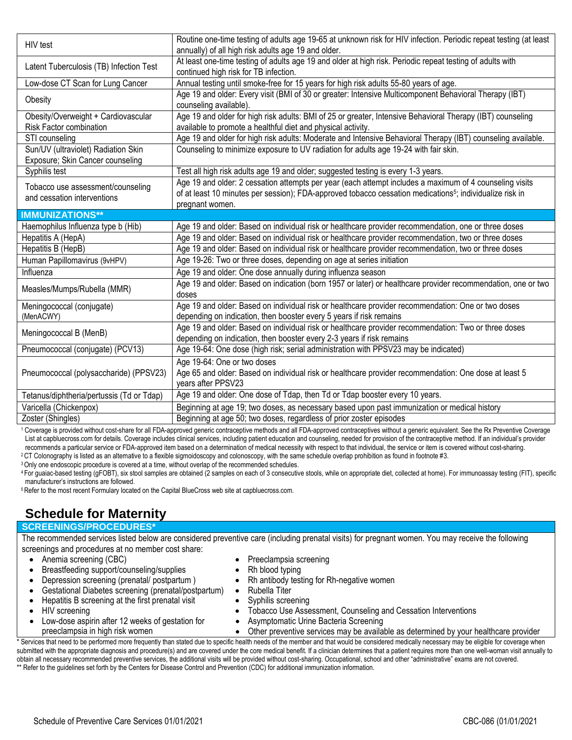| HIV test                                                                | Routine one-time testing of adults age 19-65 at unknown risk for HIV infection. Periodic repeat testing (at least<br>annually) of all high risk adults age 19 and older.                                                                           |
|-------------------------------------------------------------------------|----------------------------------------------------------------------------------------------------------------------------------------------------------------------------------------------------------------------------------------------------|
| Latent Tuberculosis (TB) Infection Test                                 | At least one-time testing of adults age 19 and older at high risk. Periodic repeat testing of adults with<br>continued high risk for TB infection.                                                                                                 |
| Low-dose CT Scan for Lung Cancer                                        | Annual testing until smoke-free for 15 years for high risk adults 55-80 years of age.                                                                                                                                                              |
| Obesity                                                                 | Age 19 and older: Every visit (BMI of 30 or greater: Intensive Multicomponent Behavioral Therapy (IBT)<br>counseling available).                                                                                                                   |
| Obesity/Overweight + Cardiovascular<br>Risk Factor combination          | Age 19 and older for high risk adults: BMI of 25 or greater, Intensive Behavioral Therapy (IBT) counseling<br>available to promote a healthful diet and physical activity.                                                                         |
| STI counseling                                                          | Age 19 and older for high risk adults: Moderate and Intensive Behavioral Therapy (IBT) counseling available.                                                                                                                                       |
| Sun/UV (ultraviolet) Radiation Skin<br>Exposure; Skin Cancer counseling | Counseling to minimize exposure to UV radiation for adults age 19-24 with fair skin.                                                                                                                                                               |
| Syphilis test                                                           | Test all high risk adults age 19 and older; suggested testing is every 1-3 years.                                                                                                                                                                  |
| Tobacco use assessment/counseling<br>and cessation interventions        | Age 19 and older: 2 cessation attempts per year (each attempt includes a maximum of 4 counseling visits<br>of at least 10 minutes per session); FDA-approved tobacco cessation medications <sup>5</sup> ; individualize risk in<br>pregnant women. |
| <b>IMMUNIZATIONS**</b>                                                  |                                                                                                                                                                                                                                                    |
| Haemophilus Influenza type b (Hib)                                      | Age 19 and older: Based on individual risk or healthcare provider recommendation, one or three doses                                                                                                                                               |
| Hepatitis A (HepA)                                                      | Age 19 and older: Based on individual risk or healthcare provider recommendation, two or three doses                                                                                                                                               |
| Hepatitis B (HepB)                                                      | Age 19 and older: Based on individual risk or healthcare provider recommendation, two or three doses                                                                                                                                               |
| Human Papillomavirus (9vHPV)                                            | Age 19-26: Two or three doses, depending on age at series initiation                                                                                                                                                                               |
| Influenza                                                               | Age 19 and older: One dose annually during influenza season                                                                                                                                                                                        |
| Measles/Mumps/Rubella (MMR)                                             | Age 19 and older: Based on indication (born 1957 or later) or healthcare provider recommendation, one or two<br>doses                                                                                                                              |
| Meningococcal (conjugate)<br>(MenACWY)                                  | Age 19 and older: Based on individual risk or healthcare provider recommendation: One or two doses<br>depending on indication, then booster every 5 years if risk remains                                                                          |
| Meningococcal B (MenB)                                                  | Age 19 and older: Based on individual risk or healthcare provider recommendation: Two or three doses<br>depending on indication, then booster every 2-3 years if risk remains                                                                      |
| Pneumococcal (conjugate) (PCV13)                                        | Age 19-64: One dose (high risk; serial administration with PPSV23 may be indicated)                                                                                                                                                                |
| Pneumococcal (polysaccharide) (PPSV23)                                  | Age 19-64: One or two doses<br>Age 65 and older: Based on individual risk or healthcare provider recommendation: One dose at least 5<br>years after PPSV23                                                                                         |
| Tetanus/diphtheria/pertussis (Td or Tdap)                               | Age 19 and older: One dose of Tdap, then Td or Tdap booster every 10 years.                                                                                                                                                                        |
| Varicella (Chickenpox)                                                  | Beginning at age 19; two doses, as necessary based upon past immunization or medical history                                                                                                                                                       |
| Zoster (Shingles)                                                       | Beginning at age 50; two doses, regardless of prior zoster episodes                                                                                                                                                                                |

<sup>1</sup> Coverage is provided without cost-share for all FDA-approved generic contraceptive methods and all FDA-approved contraceptives without a generic equivalent. See the Rx Preventive Coverage List at capbluecross.com for details. Coverage includes clinical services, including patient education and counseling, needed for provision of the contraceptive method. If an individual's provider recommends a particular service or FDA-approved item based on a determination of medical necessity with respect to that individual, the service or item is covered without cost-sharing.

<sup>2</sup>CT Colonography is listed as an alternative to a flexible sigmoidoscopy and colonoscopy, with the same schedule overlap prohibition as found in footnote #3.

<sup>3</sup> Only one endoscopic procedure is covered at a time, without overlap of the recommended schedules.

<sup>4</sup> For guaiac-based testing (gFOBT), six stool samples are obtained (2 samples on each of 3 consecutive stools, while on appropriate diet, collected at home). For immunoassay testing (FIT), specific manufacturer's instructions are followed.

<sup>5</sup> Refer to the most recent Formulary located on the Capital BlueCross web site at capbluecross.com.

## **Schedule for Maternity**

#### **SCREENINGS/PROCEDURES\***

The recommended services listed below are considered preventive care (including prenatal visits) for pregnant women. You may receive the following screenings and procedures at no member cost share:

Syphilis screening

• Rubella Titer

 Preeclampsia screening Rh blood typing

- Anemia screening (CBC)
- Breastfeeding support/counseling/supplies
- Depression screening (prenatal/ postpartum )
- Gestational Diabetes screening (prenatal/postpartum)
	- Hepatitis B screening at the first prenatal visit
- HIV screening

 Tobacco Use Assessment, Counseling and Cessation Interventions Asymptomatic Urine Bacteria Screening

Rh antibody testing for Rh-negative women

- Low-dose aspirin after 12 weeks of gestation for preeclampsia in high risk women
- 
- Other preventive services may be available as determined by your healthcare provider

Services that need to be performed more frequently than stated due to specific health needs of the member and that would be considered medically necessary may be eligible for coverage when submitted with the appropriate diagnosis and procedure(s) and are covered under the core medical benefit. If a clinician determines that a patient requires more than one well-woman visit annually to obtain all necessary recommended preventive services, the additional visits will be provided without cost-sharing. Occupational, school and other "administrative" exams are not covered. \*\* Refer to the guidelines set forth by the Centers for Disease Control and Prevention (CDC) for additional immunization information.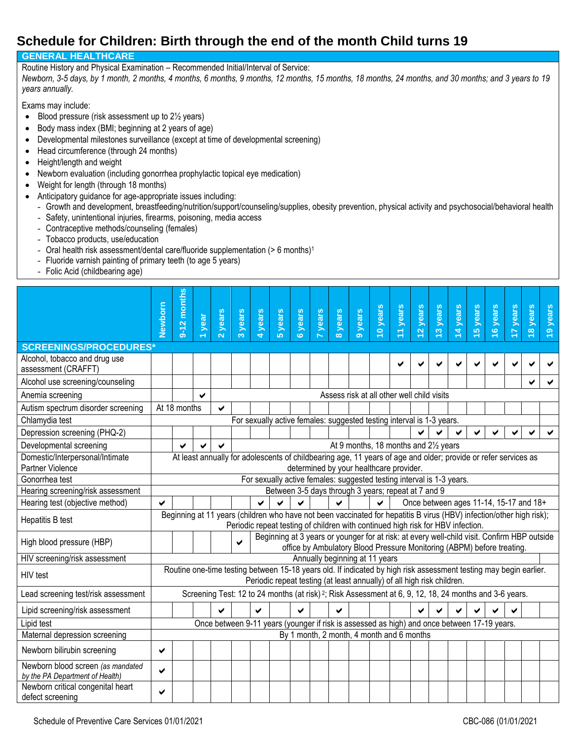#### **Schedule for Children: Birth through the end of the month Child turns 19**

#### **GENERAL HEALTHCARE**

Routine History and Physical Examination – Recommended Initial/Interval of Service:

*Newborn, 3-5 days, by 1 month, 2 months, 4 months, 6 months, 9 months, 12 months, 15 months, 18 months, 24 months, and 30 months; and 3 years to 19 years annually.*

Exams may include:

- $\bullet$  Blood pressure (risk assessment up to 2 $\frac{1}{2}$  years)
- Body mass index (BMI; beginning at 2 years of age)
- Developmental milestones surveillance (except at time of developmental screening)
- Head circumference (through 24 months)
- Height/length and weight
- Newborn evaluation (including gonorrhea prophylactic topical eye medication)
- Weight for length (through 18 months)
- Anticipatory guidance for age-appropriate issues including:
	- Growth and development, breastfeeding/nutrition/support/counseling/supplies, obesity prevention, physical activity and psychosocial/behavioral health
	- Safety, unintentional injuries, firearms, poisoning, media access
	- Contraceptive methods/counseling (females)
	- Tobacco products, use/education
	- Oral health risk assessment/dental care/fluoride supplementation (> 6 months)<sup>1</sup>
	- Fluoride varnish painting of primary teeth (to age 5 years)
	- Folic Acid (childbearing age)

|                                                                      | Newborn                                                                                                                                                   | months<br>$9 - 12$                                                                                                   | year | years | 3 years | 4 years | <b>years</b> | 6 years | 7 years | 8 years | <b>years</b>                                                                                                                                                          | 10 years | 11 years | years<br>$\overline{a}$ | 13 years | 14 years | 15 years | 16 years                               | years | 18 years | 19 years |
|----------------------------------------------------------------------|-----------------------------------------------------------------------------------------------------------------------------------------------------------|----------------------------------------------------------------------------------------------------------------------|------|-------|---------|---------|--------------|---------|---------|---------|-----------------------------------------------------------------------------------------------------------------------------------------------------------------------|----------|----------|-------------------------|----------|----------|----------|----------------------------------------|-------|----------|----------|
| <b>SCREENINGS/PROCEDURES*</b>                                        |                                                                                                                                                           |                                                                                                                      |      |       |         |         |              |         |         |         |                                                                                                                                                                       |          |          |                         |          |          |          |                                        |       |          |          |
| Alcohol, tobacco and drug use<br>assessment (CRAFFT)                 |                                                                                                                                                           |                                                                                                                      |      |       |         |         |              |         |         |         |                                                                                                                                                                       |          |          |                         |          |          |          |                                        |       |          |          |
| Alcohol use screening/counseling                                     |                                                                                                                                                           |                                                                                                                      |      |       |         |         |              |         |         |         |                                                                                                                                                                       |          |          |                         |          |          |          |                                        |       |          |          |
| Anemia screening                                                     |                                                                                                                                                           |                                                                                                                      | ✔    |       |         |         |              |         |         |         | Assess risk at all other well child visits                                                                                                                            |          |          |                         |          |          |          |                                        |       |          |          |
| Autism spectrum disorder screening                                   |                                                                                                                                                           | At 18 months                                                                                                         |      | ✓     |         |         |              |         |         |         |                                                                                                                                                                       |          |          |                         |          |          |          |                                        |       |          |          |
| Chlamydia test                                                       |                                                                                                                                                           |                                                                                                                      |      |       |         |         |              |         |         |         | For sexually active females: suggested testing interval is 1-3 years.                                                                                                 |          |          |                         |          |          |          |                                        |       |          |          |
| Depression screening (PHQ-2)                                         |                                                                                                                                                           |                                                                                                                      |      |       |         |         |              |         |         |         |                                                                                                                                                                       |          |          |                         |          |          |          |                                        |       |          |          |
| Developmental screening                                              |                                                                                                                                                           | At 9 months, 18 months and 21/2 years<br>✔                                                                           |      |       |         |         |              |         |         |         |                                                                                                                                                                       |          |          |                         |          |          |          |                                        |       |          |          |
| Domestic/Interpersonal/Intimate<br>Partner Violence                  | At least annually for adolescents of childbearing age, 11 years of age and older; provide or refer services as<br>determined by your healthcare provider. |                                                                                                                      |      |       |         |         |              |         |         |         |                                                                                                                                                                       |          |          |                         |          |          |          |                                        |       |          |          |
| Gonorrhea test                                                       |                                                                                                                                                           |                                                                                                                      |      |       |         |         |              |         |         |         | For sexually active females: suggested testing interval is 1-3 years.                                                                                                 |          |          |                         |          |          |          |                                        |       |          |          |
| Hearing screening/risk assessment                                    |                                                                                                                                                           |                                                                                                                      |      |       |         |         |              |         |         |         | Between 3-5 days through 3 years; repeat at 7 and 9                                                                                                                   |          |          |                         |          |          |          |                                        |       |          |          |
| Hearing test (objective method)                                      | ✔                                                                                                                                                         |                                                                                                                      |      |       |         | ✔       |              |         |         |         |                                                                                                                                                                       |          |          |                         |          |          |          | Once between ages 11-14, 15-17 and 18+ |       |          |          |
| Hepatitis B test                                                     |                                                                                                                                                           | Beginning at 11 years (children who have not been vaccinated for hepatitis B virus (HBV) infection/other high risk); |      |       |         |         |              |         |         |         | Periodic repeat testing of children with continued high risk for HBV infection.                                                                                       |          |          |                         |          |          |          |                                        |       |          |          |
| High blood pressure (HBP)                                            |                                                                                                                                                           |                                                                                                                      |      |       | ✔       |         |              |         |         |         | Beginning at 3 years or younger for at risk: at every well-child visit. Confirm HBP outside<br>office by Ambulatory Blood Pressure Monitoring (ABPM) before treating. |          |          |                         |          |          |          |                                        |       |          |          |
| HIV screening/risk assessment                                        |                                                                                                                                                           |                                                                                                                      |      |       |         |         |              |         |         |         | Annually beginning at 11 years                                                                                                                                        |          |          |                         |          |          |          |                                        |       |          |          |
| HIV test                                                             |                                                                                                                                                           | Routine one-time testing between 15-18 years old. If indicated by high risk assessment testing may begin earlier.    |      |       |         |         |              |         |         |         | Periodic repeat testing (at least annually) of all high risk children.                                                                                                |          |          |                         |          |          |          |                                        |       |          |          |
| Lead screening test/risk assessment                                  |                                                                                                                                                           |                                                                                                                      |      |       |         |         |              |         |         |         | Screening Test: 12 to 24 months (at risk) <sup>2</sup> ; Risk Assessment at 6, 9, 12, 18, 24 months and 3-6 years.                                                    |          |          |                         |          |          |          |                                        |       |          |          |
| Lipid screening/risk assessment                                      |                                                                                                                                                           |                                                                                                                      |      | ✔     |         |         |              |         |         | ✔       |                                                                                                                                                                       |          |          |                         |          |          |          |                                        |       |          |          |
| Lipid test                                                           |                                                                                                                                                           |                                                                                                                      |      |       |         |         |              |         |         |         | Once between 9-11 years (younger if risk is assessed as high) and once between 17-19 years.                                                                           |          |          |                         |          |          |          |                                        |       |          |          |
| Maternal depression screening                                        |                                                                                                                                                           |                                                                                                                      |      |       |         |         |              |         |         |         | By 1 month, 2 month, 4 month and 6 months                                                                                                                             |          |          |                         |          |          |          |                                        |       |          |          |
| Newborn bilirubin screening                                          | ✔                                                                                                                                                         |                                                                                                                      |      |       |         |         |              |         |         |         |                                                                                                                                                                       |          |          |                         |          |          |          |                                        |       |          |          |
| Newborn blood screen (as mandated<br>by the PA Department of Health) | ✔                                                                                                                                                         |                                                                                                                      |      |       |         |         |              |         |         |         |                                                                                                                                                                       |          |          |                         |          |          |          |                                        |       |          |          |
| Newborn critical congenital heart<br>defect screening                | ✔                                                                                                                                                         |                                                                                                                      |      |       |         |         |              |         |         |         |                                                                                                                                                                       |          |          |                         |          |          |          |                                        |       |          |          |